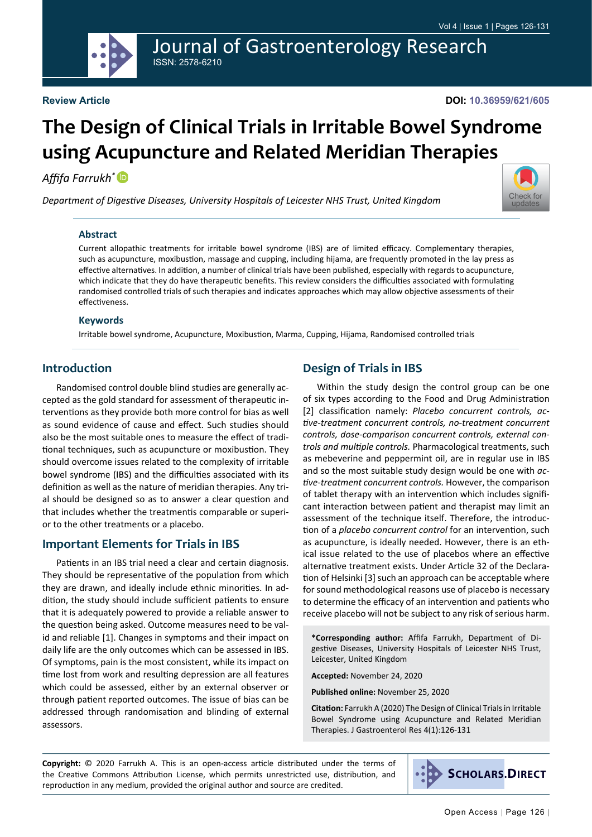Journal of Gastroenterology Research ISSN: 2578-6210

# **The Design of Clinical Trials in Irritable Bowel Syndrome using Acupuncture and Related Meridian Therapies**

*Affifa Farrukh[\\*](https://orcid.org/0000-0003-2579-0160)* 

*Department of Digestive Diseases, University Hospitals of Leicester NHS Trust, United Kingdom*



#### **Abstract**

Current allopathic treatments for irritable bowel syndrome (IBS) are of limited efficacy. Complementary therapies, such as acupuncture, moxibustion, massage and cupping, including hijama, are frequently promoted in the lay press as effective alternatives. In addition, a number of clinical trials have been published, especially with regards to acupuncture, which indicate that they do have therapeutic benefits. This review considers the difficulties associated with formulating randomised controlled trials of such therapies and indicates approaches which may allow objective assessments of their effectiveness.

#### **Keywords**

Irritable bowel syndrome, Acupuncture, Moxibustion, Marma, Cupping, Hijama, Randomised controlled trials

## **Introduction**

Randomised control double blind studies are generally accepted as the gold standard for assessment of therapeutic interventions as they provide both more control for bias as well as sound evidence of cause and effect. Such studies should also be the most suitable ones to measure the effect of traditional techniques, such as acupuncture or moxibustion. They should overcome issues related to the complexity of irritable bowel syndrome (IBS) and the difficulties associated with its definition as well as the nature of meridian therapies. Any trial should be designed so as to answer a clear question and that includes whether the treatmentis comparable or superior to the other treatments or a placebo.

## **Important Elements for Trials in IBS**

Patients in an IBS trial need a clear and certain diagnosis. They should be representative of the population from which they are drawn, and ideally include ethnic minorities. In addition, the study should include sufficient patients to ensure that it is adequately powered to provide a reliable answer to the question being asked. Outcome measures need to be valid and reliable [1]. Changes in symptoms and their impact on daily life are the only outcomes which can be assessed in IBS. Of symptoms, pain is the most consistent, while its impact on time lost from work and resulting depression are all features which could be assessed, either by an external observer or through patient reported outcomes. The issue of bias can be addressed through randomisation and blinding of external assessors.

# **Design of Trials in IBS**

Within the study design the control group can be one of six types according to the Food and Drug Administration [2] classification namely: *Placebo concurrent controls, active-treatment concurrent controls, no-treatment concurrent controls, dose-comparison concurrent controls, external controls and multiple controls.* Pharmacological treatments, such as mebeverine and peppermint oil, are in regular use in IBS and so the most suitable study design would be one with *active-treatment concurrent controls.* However, the comparison of tablet therapy with an intervention which includes significant interaction between patient and therapist may limit an assessment of the technique itself. Therefore, the introduction of a *placebo concurrent control* for an intervention, such as acupuncture, is ideally needed. However, there is an ethical issue related to the use of placebos where an effective alternative treatment exists. Under Article 32 of the Declaration of Helsinki [3] such an approach can be acceptable where for sound methodological reasons use of placebo is necessary to determine the efficacy of an intervention and patients who receive placebo will not be subject to any risk of serious harm.

**\*Corresponding author:** Affifa Farrukh, Department of Digestive Diseases, University Hospitals of Leicester NHS Trust, Leicester, United Kingdom

**Accepted:** November 24, 2020

**Published online:** November 25, 2020

**Citation:** Farrukh A (2020) The Design of Clinical Trials in Irritable Bowel Syndrome using Acupuncture and Related Meridian Therapies. J Gastroenterol Res 4(1):126-131

**Copyright:** © 2020 Farrukh A. This is an open-access article distributed under the terms of the Creative Commons Attribution License, which permits unrestricted use, distribution, and reproduction in any medium, provided the original author and source are credited.

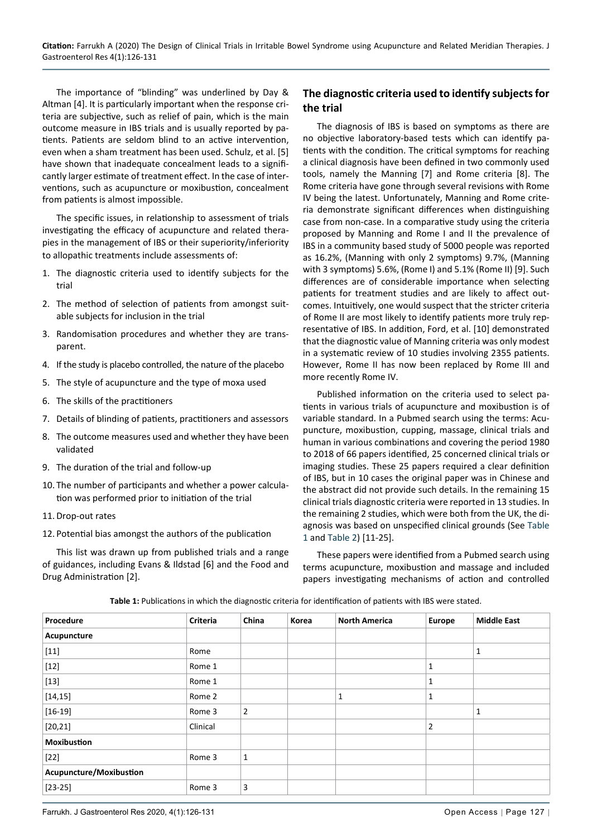The importance of "blinding" was underlined by Day & Altman [4]. It is particularly important when the response criteria are subjective, such as relief of pain, which is the main outcome measure in IBS trials and is usually reported by patients. Patients are seldom blind to an active intervention, even when a sham treatment has been used. Schulz, et al. [5] have shown that inadequate concealment leads to a significantly larger estimate of treatment effect. In the case of interventions, such as acupuncture or moxibustion, concealment from patients is almost impossible.

The specific issues, in relationship to assessment of trials investigating the efficacy of acupuncture and related therapies in the management of IBS or their superiority/inferiority to allopathic treatments include assessments of:

- 1. The diagnostic criteria used to identify subjects for the trial
- 2. The method of selection of patients from amongst suitable subjects for inclusion in the trial
- 3. Randomisation procedures and whether they are transparent.
- 4. If the study is placebo controlled, the nature of the placebo
- 5. The style of acupuncture and the type of moxa used
- 6. The skills of the practitioners
- 7. Details of blinding of patients, practitioners and assessors
- 8. The outcome measures used and whether they have been validated
- 9. The duration of the trial and follow-up
- 10. The number of participants and whether a power calculation was performed prior to initiation of the trial
- 11.Drop-out rates
- 12. Potential bias amongst the authors of the publication

This list was drawn up from published trials and a range of guidances, including Evans & Ildstad [6] and the Food and Drug Administration [2].

# **The diagnostic criteria used to identify subjects for the trial**

The diagnosis of IBS is based on symptoms as there are no objective laboratory-based tests which can identify patients with the condition. The critical symptoms for reaching a clinical diagnosis have been defined in two commonly used tools, namely the Manning [7] and Rome criteria [8]. The Rome criteria have gone through several revisions with Rome IV being the latest. Unfortunately, Manning and Rome criteria demonstrate significant differences when distinguishing case from non-case. In a comparative study using the criteria proposed by Manning and Rome I and II the prevalence of IBS in a community based study of 5000 people was reported as 16.2%, (Manning with only 2 symptoms) 9.7%, (Manning with 3 symptoms) 5.6%, (Rome I) and 5.1% (Rome II) [9]. Such differences are of considerable importance when selecting patients for treatment studies and are likely to affect outcomes. Intuitively, one would suspect that the stricter criteria of Rome II are most likely to identify patients more truly representative of IBS. In addition, Ford, et al. [10] demonstrated that the diagnostic value of Manning criteria was only modest in a systematic review of 10 studies involving 2355 patients. However, Rome II has now been replaced by Rome III and more recently Rome IV.

Published information on the criteria used to select patients in various trials of acupuncture and moxibustion is of variable standard. In a Pubmed search using the terms: Acupuncture, moxibustion, cupping, massage, clinical trials and human in various combinations and covering the period 1980 to 2018 of 66 papers identified, 25 concerned clinical trials or imaging studies. These 25 papers required a clear definition of IBS, but in 10 cases the original paper was in Chinese and the abstract did not provide such details. In the remaining 15 clinical trials diagnostic criteria were reported in 13 studies. In the remaining 2 studies, which were both from the UK, the diagnosis was based on unspecified clinical grounds (See [Table](#page-1-0)  [1](#page-1-0) and [Table 2](#page-2-0)) [11-25].

These papers were identified from a Pubmed search using terms acupuncture, moxibustion and massage and included papers investigating mechanisms of action and controlled

| Procedure               | Criteria | China          | Korea | <b>North America</b> | <b>Europe</b>  | <b>Middle East</b> |
|-------------------------|----------|----------------|-------|----------------------|----------------|--------------------|
| Acupuncture             |          |                |       |                      |                |                    |
| $[11]$                  | Rome     |                |       |                      |                | 1                  |
| $[12]$                  | Rome 1   |                |       |                      | 1              |                    |
| $[13]$                  | Rome 1   |                |       |                      | 1              |                    |
| [14, 15]                | Rome 2   |                |       | 1                    | 1              |                    |
| $[16-19]$               | Rome 3   | $\overline{2}$ |       |                      |                | 1                  |
| [20, 21]                | Clinical |                |       |                      | $\overline{2}$ |                    |
| <b>Moxibustion</b>      |          |                |       |                      |                |                    |
| $[22]$                  | Rome 3   | 1              |       |                      |                |                    |
| Acupuncture/Moxibustion |          |                |       |                      |                |                    |
| $[23-25]$               | Rome 3   | 3              |       |                      |                |                    |

<span id="page-1-0"></span>**Table 1:** Publications in which the diagnostic criteria for identification of patients with IBS were stated.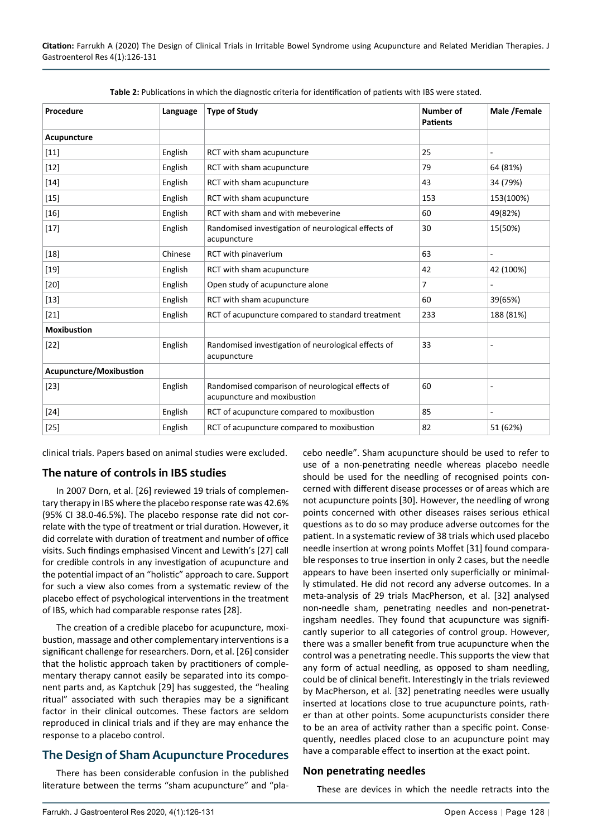| Procedure                      | Language | <b>Type of Study</b>                                                            | Number of<br><b>Patients</b> | Male /Female |
|--------------------------------|----------|---------------------------------------------------------------------------------|------------------------------|--------------|
| Acupuncture                    |          |                                                                                 |                              |              |
| $[11]$                         | English  | RCT with sham acupuncture                                                       | 25                           |              |
| $[12]$                         | English  | RCT with sham acupuncture                                                       | 79                           | 64 (81%)     |
| $[14]$                         | English  | RCT with sham acupuncture                                                       | 43                           | 34 (79%)     |
| $[15]$                         | English  | RCT with sham acupuncture                                                       | 153                          | 153(100%)    |
| $[16]$                         | English  | RCT with sham and with mebeverine                                               | 60                           | 49(82%)      |
| $[17]$                         | English  | Randomised investigation of neurological effects of<br>acupuncture              | 30                           | 15(50%)      |
| $[18]$                         | Chinese  | RCT with pinaverium                                                             | 63                           |              |
| $[19]$                         | English  | RCT with sham acupuncture                                                       | 42                           | 42 (100%)    |
| $[20]$                         | English  | Open study of acupuncture alone                                                 | $\overline{7}$               |              |
| $[13]$                         | English  | RCT with sham acupuncture                                                       | 60                           | 39(65%)      |
| $[21]$                         | English  | RCT of acupuncture compared to standard treatment                               | 233                          | 188 (81%)    |
| <b>Moxibustion</b>             |          |                                                                                 |                              |              |
| $[22]$                         | English  | Randomised investigation of neurological effects of<br>acupuncture              | 33                           |              |
| <b>Acupuncture/Moxibustion</b> |          |                                                                                 |                              |              |
| $[23]$                         | English  | Randomised comparison of neurological effects of<br>acupuncture and moxibustion | 60                           |              |
| $[24]$                         | English  | RCT of acupuncture compared to moxibustion                                      | 85                           |              |
| $[25]$                         | English  | RCT of acupuncture compared to moxibustion                                      | 82                           | 51 (62%)     |

<span id="page-2-0"></span>**Table 2:** Publications in which the diagnostic criteria for identification of patients with IBS were stated.

clinical trials. Papers based on animal studies were excluded.

#### **The nature of controls in IBS studies**

In 2007 Dorn, et al. [26] reviewed 19 trials of complementary therapy in IBS where the placebo response rate was 42.6% (95% CI 38.0-46.5%). The placebo response rate did not correlate with the type of treatment or trial duration. However, it did correlate with duration of treatment and number of office visits. Such findings emphasised Vincent and Lewith's [27] call for credible controls in any investigation of acupuncture and the potential impact of an "holistic" approach to care. Support for such a view also comes from a systematic review of the placebo effect of psychological interventions in the treatment of IBS, which had comparable response rates [28].

The creation of a credible placebo for acupuncture, moxibustion, massage and other complementary interventions is a significant challenge for researchers. Dorn, et al. [26] consider that the holistic approach taken by practitioners of complementary therapy cannot easily be separated into its component parts and, as Kaptchuk [29] has suggested, the "healing ritual" associated with such therapies may be a significant factor in their clinical outcomes. These factors are seldom reproduced in clinical trials and if they are may enhance the response to a placebo control.

# **The Design of Sham Acupuncture Procedures**

There has been considerable confusion in the published literature between the terms "sham acupuncture" and "placebo needle". Sham acupuncture should be used to refer to use of a non-penetrating needle whereas placebo needle should be used for the needling of recognised points concerned with different disease processes or of areas which are not acupuncture points [30]. However, the needling of wrong points concerned with other diseases raises serious ethical questions as to do so may produce adverse outcomes for the patient. In a systematic review of 38 trials which used placebo needle insertion at wrong points Moffet [31] found comparable responses to true insertion in only 2 cases, but the needle appears to have been inserted only superficially or minimally stimulated. He did not record any adverse outcomes. In a meta-analysis of 29 trials MacPherson, et al. [32] analysed non-needle sham, penetrating needles and non-penetratingsham needles. They found that acupuncture was significantly superior to all categories of control group. However, there was a smaller benefit from true acupuncture when the control was a penetrating needle. This supports the view that any form of actual needling, as opposed to sham needling, could be of clinical benefit. Interestingly in the trials reviewed by MacPherson, et al. [32] penetrating needles were usually inserted at locations close to true acupuncture points, rather than at other points. Some acupuncturists consider there to be an area of activity rather than a specific point. Consequently, needles placed close to an acupuncture point may have a comparable effect to insertion at the exact point.

#### **Non penetrating needles**

These are devices in which the needle retracts into the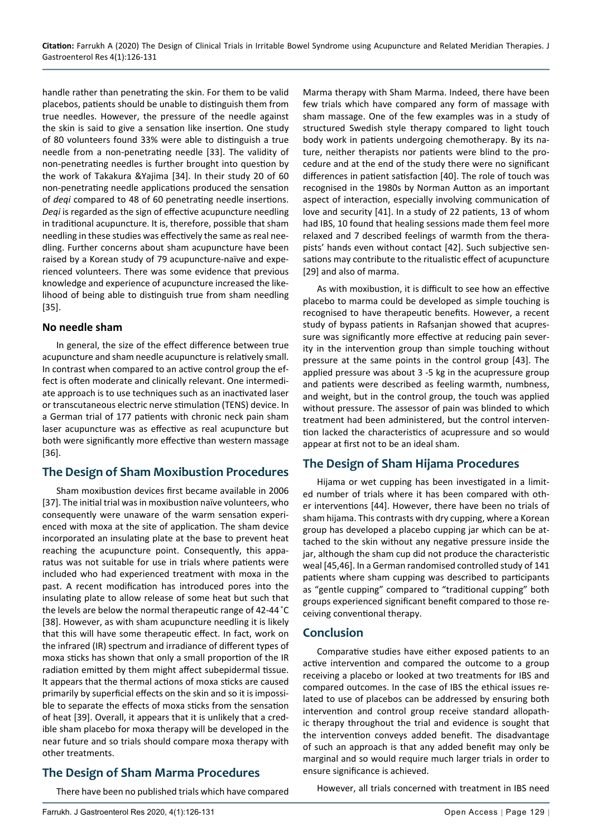handle rather than penetrating the skin. For them to be valid placebos, patients should be unable to distinguish them from true needles. However, the pressure of the needle against the skin is said to give a sensation like insertion. One study of 80 volunteers found 33% were able to distinguish a true needle from a non-penetrating needle [33]. The validity of non-penetrating needles is further brought into question by the work of Takakura &Yajima [34]. In their study 20 of 60 non-penetrating needle applications produced the sensation of *deqi* compared to 48 of 60 penetrating needle insertions. *Deqi* is regarded as the sign of effective acupuncture needling in traditional acupuncture. It is, therefore, possible that sham needling in these studies was effectively the same as real needling. Further concerns about sham acupuncture have been raised by a Korean study of 79 acupuncture-naïve and experienced volunteers. There was some evidence that previous knowledge and experience of acupuncture increased the likelihood of being able to distinguish true from sham needling [35].

#### **No needle sham**

In general, the size of the effect difference between true acupuncture and sham needle acupuncture is relatively small. In contrast when compared to an active control group the effect is often moderate and clinically relevant. One intermediate approach is to use techniques such as an inactivated laser or transcutaneous electric nerve stimulation (TENS) device. In a German trial of 177 patients with chronic neck pain sham laser acupuncture was as effective as real acupuncture but both were significantly more effective than western massage [36].

# **The Design of Sham Moxibustion Procedures**

Sham moxibustion devices first became available in 2006 [37]. The initial trial was in moxibustion naïve volunteers, who consequently were unaware of the warm sensation experienced with moxa at the site of application. The sham device incorporated an insulating plate at the base to prevent heat reaching the acupuncture point. Consequently, this apparatus was not suitable for use in trials where patients were included who had experienced treatment with moxa in the past. A recent modification has introduced pores into the insulating plate to allow release of some heat but such that the levels are below the normal therapeutic range of 42-44˚C [38]. However, as with sham acupuncture needling it is likely that this will have some therapeutic effect. In fact, work on the infrared (IR) spectrum and irradiance of different types of moxa sticks has shown that only a small proportion of the IR radiation emitted by them might affect subepidermal tissue. It appears that the thermal actions of moxa sticks are caused primarily by superficial effects on the skin and so it is impossible to separate the effects of moxa sticks from the sensation of heat [39]. Overall, it appears that it is unlikely that a credible sham placebo for moxa therapy will be developed in the near future and so trials should compare moxa therapy with other treatments.

# **The Design of Sham Marma Procedures**

There have been no published trials which have compared

Marma therapy with Sham Marma. Indeed, there have been few trials which have compared any form of massage with sham massage. One of the few examples was in a study of structured Swedish style therapy compared to light touch body work in patients undergoing chemotherapy. By its nature, neither therapists nor patients were blind to the procedure and at the end of the study there were no significant differences in patient satisfaction [40]. The role of touch was recognised in the 1980s by Norman Autton as an important aspect of interaction, especially involving communication of love and security [41]. In a study of 22 patients, 13 of whom had IBS, 10 found that healing sessions made them feel more relaxed and 7 described feelings of warmth from the therapists' hands even without contact [42]. Such subjective sensations may contribute to the ritualistic effect of acupuncture [29] and also of marma.

As with moxibustion, it is difficult to see how an effective placebo to marma could be developed as simple touching is recognised to have therapeutic benefits. However, a recent study of bypass patients in Rafsanjan showed that acupressure was significantly more effective at reducing pain severity in the intervention group than simple touching without pressure at the same points in the control group [43]. The applied pressure was about 3 -5 kg in the acupressure group and patients were described as feeling warmth, numbness, and weight, but in the control group, the touch was applied without pressure. The assessor of pain was blinded to which treatment had been administered, but the control intervention lacked the characteristics of acupressure and so would appear at first not to be an ideal sham.

# **The Design of Sham Hijama Procedures**

Hijama or wet cupping has been investigated in a limited number of trials where it has been compared with other interventions [44]. However, there have been no trials of sham hijama. This contrasts with dry cupping, where a Korean group has developed a placebo cupping jar which can be attached to the skin without any negative pressure inside the jar, although the sham cup did not produce the characteristic weal [45,46]. In a German randomised controlled study of 141 patients where sham cupping was described to participants as "gentle cupping" compared to "traditional cupping" both groups experienced significant benefit compared to those receiving conventional therapy.

## **Conclusion**

Comparative studies have either exposed patients to an active intervention and compared the outcome to a group receiving a placebo or looked at two treatments for IBS and compared outcomes. In the case of IBS the ethical issues related to use of placebos can be addressed by ensuring both intervention and control group receive standard allopathic therapy throughout the trial and evidence is sought that the intervention conveys added benefit. The disadvantage of such an approach is that any added benefit may only be marginal and so would require much larger trials in order to ensure significance is achieved.

However, all trials concerned with treatment in IBS need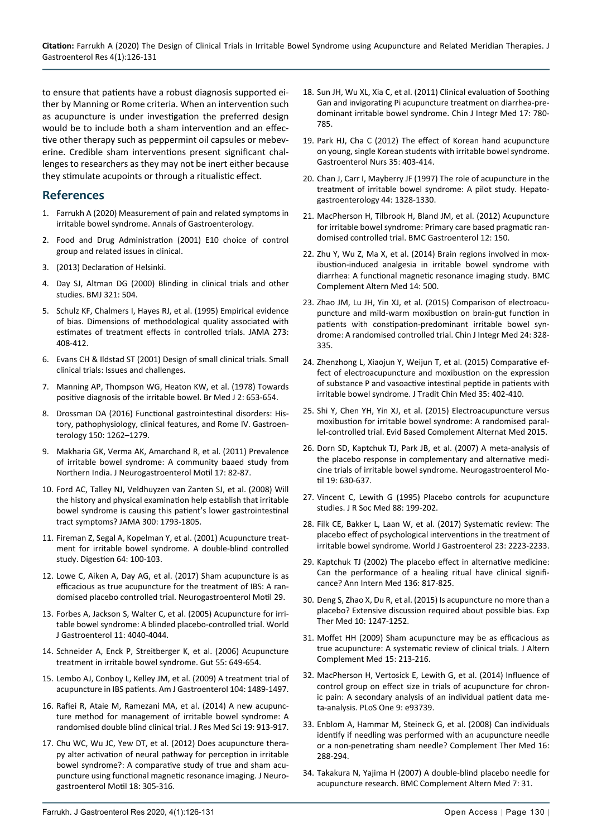to ensure that patients have a robust diagnosis supported either by Manning or Rome criteria. When an intervention such as acupuncture is under investigation the preferred design would be to include both a sham intervention and an effective other therapy such as peppermint oil capsules or mebeverine. Credible sham interventions present significant challenges to researchers as they may not be inert either because they stimulate acupoints or through a ritualistic effect.

## **References**

- 1. Farrukh A (2020) Measurement of pain and related symptoms in irritable bowel syndrome. Annals of Gastroenterology.
- 2. [Food and Drug Administration \(2001\) E10 choice of control](https://www.fda.gov/regulatory-information/search-fda-guidance-documents/e10-choice-control-group-and-related-issues-clinical-trials)  [group and related issues in clinical.](https://www.fda.gov/regulatory-information/search-fda-guidance-documents/e10-choice-control-group-and-related-issues-clinical-trials)
- 3. (2013) Declaration of Helsinki.
- 4. [Day SJ, Altman DG \(2000\) Blinding in clinical trials and other](https://www.bmj.com/content/321/7259/504)  [studies. BMJ 321: 504.](https://www.bmj.com/content/321/7259/504)
- 5. [Schulz KF, Chalmers I, Hayes RJ, et al. \(1995\) Empirical evidence](https://pubmed.ncbi.nlm.nih.gov/7823387/)  [of bias. Dimensions of methodological quality associated with](https://pubmed.ncbi.nlm.nih.gov/7823387/)  [estimates of treatment effects in controlled trials. JAMA 273:](https://pubmed.ncbi.nlm.nih.gov/7823387/)  [408-412.](https://pubmed.ncbi.nlm.nih.gov/7823387/)
- 6. [Evans CH & Ildstad ST \(2001\) Design of small clinical trials. Small](https://www.ncbi.nlm.nih.gov/books/NBK223329/)  [clinical trials: Issues and challenges.](https://www.ncbi.nlm.nih.gov/books/NBK223329/)
- 7. [Manning AP, Thompson WG, Heaton KW, et al. \(1978\) Towards](https://pubmed.ncbi.nlm.nih.gov/698649/)  [positive diagnosis of the irritable bowel. Br Med J 2: 653-654.](https://pubmed.ncbi.nlm.nih.gov/698649/)
- 8. [Drossman DA \(2016\) Functional gastrointestinal disorders: His](https://theromefoundation.org/wp-content/uploads/functional-gastrointestinal-disorders-history-pathophysiology-clinical-features-and-rome-iv.pdf)[tory, pathophysiology, clinical features, and Rome IV. Gastroen](https://theromefoundation.org/wp-content/uploads/functional-gastrointestinal-disorders-history-pathophysiology-clinical-features-and-rome-iv.pdf)[terology 150: 1262–1279.](https://theromefoundation.org/wp-content/uploads/functional-gastrointestinal-disorders-history-pathophysiology-clinical-features-and-rome-iv.pdf)
- 9. [Makharia GK, Verma AK, Amarchand R, et al. \(2011\) Prevalence](https://www.ncbi.nlm.nih.gov/pmc/articles/PMC3042224/)  [of irritable bowel syndrome: A community baaed study from](https://www.ncbi.nlm.nih.gov/pmc/articles/PMC3042224/)  [Northern India. J Neurogastroenterol Motil 17: 82-87.](https://www.ncbi.nlm.nih.gov/pmc/articles/PMC3042224/)
- 10. [Ford AC, Talley NJ, Veldhuyzen van Zanten SJ, et al. \(2008\) Will](https://pubmed.ncbi.nlm.nih.gov/18854541/)  [the history and physical examination help establish that irritable](https://pubmed.ncbi.nlm.nih.gov/18854541/)  [bowel syndrome is causing this patient's lower gastrointestinal](https://pubmed.ncbi.nlm.nih.gov/18854541/)  [tract symptoms? JAMA 300: 1793-1805.](https://pubmed.ncbi.nlm.nih.gov/18854541/)
- 11. [Fireman Z, Segal A, Kopelman Y, et al. \(2001\) Acupuncture treat](https://pubmed.ncbi.nlm.nih.gov/11684823/)[ment for irritable bowel syndrome. A double-blind controlled](https://pubmed.ncbi.nlm.nih.gov/11684823/)  [study. Digestion 64: 100-103.](https://pubmed.ncbi.nlm.nih.gov/11684823/)
- 12. [Lowe C, Aiken A, Day AG, et al. \(2017\) Sham acupuncture is as](https://pubmed.ncbi.nlm.nih.gov/28251729/)  [efficacious as true acupuncture for the treatment of IBS: A ran](https://pubmed.ncbi.nlm.nih.gov/28251729/)[domised placebo controlled trial. Neurogastroenterol Motil 29.](https://pubmed.ncbi.nlm.nih.gov/28251729/)
- 13. [Forbes A, Jackson S, Walter C, et al. \(2005\) Acupuncture for irri](https://pubmed.ncbi.nlm.nih.gov/15996029/)[table bowel syndrome: A blinded placebo-controlled trial. World](https://pubmed.ncbi.nlm.nih.gov/15996029/)  [J Gastroenterol 11: 4040-4044.](https://pubmed.ncbi.nlm.nih.gov/15996029/)
- 14. [Schneider A, Enck P, Streitberger K, et al. \(2006\) Acupuncture](https://gut.bmj.com/content/55/5/649)  [treatment in irritable bowel syndrome. Gut 55: 649-654.](https://gut.bmj.com/content/55/5/649)
- 15. [Lembo AJ, Conboy L, Kelley JM, et al. \(2009\) A treatment trial of](https://pubmed.ncbi.nlm.nih.gov/19455132/)  [acupuncture in IBS patients. Am J Gastroenterol 104: 1489-1497.](https://pubmed.ncbi.nlm.nih.gov/19455132/)
- 16. [Rafiei R, Ataie M, Ramezani MA, et al. \(2014\) A new acupunc](https://www.ncbi.nlm.nih.gov/pmc/articles/PMC4274564/)[ture method for management of irritable bowel syndrome: A](https://www.ncbi.nlm.nih.gov/pmc/articles/PMC4274564/)  [randomised double blind clinical trial. J Res Med Sci 19: 913-917.](https://www.ncbi.nlm.nih.gov/pmc/articles/PMC4274564/)
- 17. [Chu WC, Wu JC, Yew DT, et al. \(2012\) Does acupuncture thera](https://pubmed.ncbi.nlm.nih.gov/22837879/)[py alter activation of neural pathway for perception in irritable](https://pubmed.ncbi.nlm.nih.gov/22837879/)  [bowel syndrome?: A comparative study of true and sham acu](https://pubmed.ncbi.nlm.nih.gov/22837879/)[puncture using functional magnetic resonance imaging. J Neuro](https://pubmed.ncbi.nlm.nih.gov/22837879/)[gastroenterol Motil 18: 305-316.](https://pubmed.ncbi.nlm.nih.gov/22837879/)
- 18. [Sun JH, Wu XL, Xia C, et al. \(2011\) Clinical evaluation of Soothing](https://pubmed.ncbi.nlm.nih.gov/22101701/)  [Gan and invigorating Pi acupuncture treatment on diarrhea-pre](https://pubmed.ncbi.nlm.nih.gov/22101701/)[dominant irritable bowel syndrome. Chin J Integr Med 17: 780-](https://pubmed.ncbi.nlm.nih.gov/22101701/) [785.](https://pubmed.ncbi.nlm.nih.gov/22101701/)
- 19. [Park HJ, Cha C \(2012\) The effect of Korean hand acupuncture](https://pubmed.ncbi.nlm.nih.gov/23207783/)  [on young, single Korean students with irritable bowel syndrome.](https://pubmed.ncbi.nlm.nih.gov/23207783/)  [Gastroenterol Nurs 35: 403-414.](https://pubmed.ncbi.nlm.nih.gov/23207783/)
- 20. [Chan J, Carr I, Mayberry JF \(1997\) The role of acupuncture in the](https://pubmed.ncbi.nlm.nih.gov/9356848/)  [treatment of irritable bowel syndrome: A pilot study. Hepato](https://pubmed.ncbi.nlm.nih.gov/9356848/)[gastroenterology 44: 1328-1330.](https://pubmed.ncbi.nlm.nih.gov/9356848/)
- 21. [MacPherson H, Tilbrook H, Bland JM, et al. \(2012\) Acupuncture](https://pubmed.ncbi.nlm.nih.gov/23095376/)  [for irritable bowel syndrome: Primary care based pragmatic ran](https://pubmed.ncbi.nlm.nih.gov/23095376/)[domised controlled trial. BMC Gastroenterol 12: 150.](https://pubmed.ncbi.nlm.nih.gov/23095376/)
- 22. [Zhu Y, Wu Z, Ma X, et al. \(2014\) Brain regions involved in mox](https://pubmed.ncbi.nlm.nih.gov/25516481/)[ibustion-induced analgesia in irritable bowel syndrome with](https://pubmed.ncbi.nlm.nih.gov/25516481/)  [diarrhea: A functional magnetic resonance imaging study. BMC](https://pubmed.ncbi.nlm.nih.gov/25516481/)  [Complement Altern Med 14: 500.](https://pubmed.ncbi.nlm.nih.gov/25516481/)
- 23. [Zhao JM, Lu JH, Yin XJ, et al. \(2015\) Comparison of electroacu](https://pubmed.ncbi.nlm.nih.gov/29752611/)[puncture and mild-warm moxibustion on brain-gut function in](https://pubmed.ncbi.nlm.nih.gov/29752611/)  [patients with constipation-predominant irritable bowel syn](https://pubmed.ncbi.nlm.nih.gov/29752611/)[drome: A randomised controlled trial. Chin J Integr Med 24: 328-](https://pubmed.ncbi.nlm.nih.gov/29752611/) [335.](https://pubmed.ncbi.nlm.nih.gov/29752611/)
- 24. [Zhenzhong L, Xiaojun Y, Weijun T, et al. \(2015\) Comparative ef](https://pubmed.ncbi.nlm.nih.gov/26427109/)[fect of electroacupuncture and moxibustion on the expression](https://pubmed.ncbi.nlm.nih.gov/26427109/)  [of substance P and vasoactive intestinal peptide in patients with](https://pubmed.ncbi.nlm.nih.gov/26427109/)  [irritable bowel syndrome. J Tradit Chin Med 35: 402-410.](https://pubmed.ncbi.nlm.nih.gov/26427109/)
- 25. [Shi Y, Chen YH, Yin XJ, et al. \(2015\) Electroacupuncture versus](https://pubmed.ncbi.nlm.nih.gov/26294923/)  [moxibustion for irritable bowel syndrome: A randomised paral](https://pubmed.ncbi.nlm.nih.gov/26294923/)[lel-controlled trial. Evid Based Complement Alternat Med 2015.](https://pubmed.ncbi.nlm.nih.gov/26294923/)
- 26. [Dorn SD, Kaptchuk TJ, Park JB, et al. \(2007\) A meta-analysis of](https://pubmed.ncbi.nlm.nih.gov/17640177/)  [the placebo response in complementary and alternative medi](https://pubmed.ncbi.nlm.nih.gov/17640177/)[cine trials of irritable bowel syndrome. Neurogastroenterol Mo](https://pubmed.ncbi.nlm.nih.gov/17640177/)[til 19: 630-637.](https://pubmed.ncbi.nlm.nih.gov/17640177/)
- 27. [Vincent C, Lewith G \(1995\) Placebo controls for acupuncture](https://www.ncbi.nlm.nih.gov/pmc/articles/PMC1295163/)  [studies. J R Soc Med 88: 199-202.](https://www.ncbi.nlm.nih.gov/pmc/articles/PMC1295163/)
- 28. [Filk CE, Bakker L, Laan W, et al. \(2017\) Systematic review: The](https://pubmed.ncbi.nlm.nih.gov/28405151/)  [placebo effect of psychological interventions in the treatment of](https://pubmed.ncbi.nlm.nih.gov/28405151/)  [irritable bowel syndrome. World J Gastroenterol 23: 2223-2233.](https://pubmed.ncbi.nlm.nih.gov/28405151/)
- 29. [Kaptchuk TJ \(2002\) The placebo effect in alternative medicine:](https://pubmed.ncbi.nlm.nih.gov/12044130/)  [Can the performance of a healing ritual have clinical signifi](https://pubmed.ncbi.nlm.nih.gov/12044130/)[cance? Ann Intern Med 136: 817-825.](https://pubmed.ncbi.nlm.nih.gov/12044130/)
- 30. [Deng S, Zhao X, Du R, et al. \(2015\) Is acupuncture no more than a](https://pubmed.ncbi.nlm.nih.gov/26622473/)  [placebo? Extensive discussion required about possible bias. Exp](https://pubmed.ncbi.nlm.nih.gov/26622473/)  [Ther Med 10: 1247-1252.](https://pubmed.ncbi.nlm.nih.gov/26622473/)
- 31. [Moffet HH \(2009\) Sham acupuncture may be as efficacious as](https://pubmed.ncbi.nlm.nih.gov/19250001/)  [true acupuncture: A systematic review of clinical trials. J Altern](https://pubmed.ncbi.nlm.nih.gov/19250001/)  [Complement Med 15: 213-216.](https://pubmed.ncbi.nlm.nih.gov/19250001/)
- 32. [MacPherson H, Vertosick E, Lewith G, et al. \(2014\) Influence of](https://pubmed.ncbi.nlm.nih.gov/24705624/)  [control group on effect size in trials of acupuncture for chron](https://pubmed.ncbi.nlm.nih.gov/24705624/)[ic pain: A secondary analysis of an individual patient data me](https://pubmed.ncbi.nlm.nih.gov/24705624/)[ta-analysis. PLoS One 9: e93739.](https://pubmed.ncbi.nlm.nih.gov/24705624/)
- 33. [Enblom A, Hammar M, Steineck G, et al. \(2008\) Can individuals](https://pubmed.ncbi.nlm.nih.gov/19186344/)  [identify if needling was performed with an acupuncture needle](https://pubmed.ncbi.nlm.nih.gov/19186344/)  [or a non-penetrating sham needle? Complement Ther Med 16:](https://pubmed.ncbi.nlm.nih.gov/19186344/)  [288-294.](https://pubmed.ncbi.nlm.nih.gov/19186344/)
- 34. [Takakura N, Yajima H \(2007\) A double-blind placebo needle for](https://www.ncbi.nlm.nih.gov/pmc/articles/PMC2176062/)  [acupuncture research. BMC Complement Altern Med 7: 31.](https://www.ncbi.nlm.nih.gov/pmc/articles/PMC2176062/)